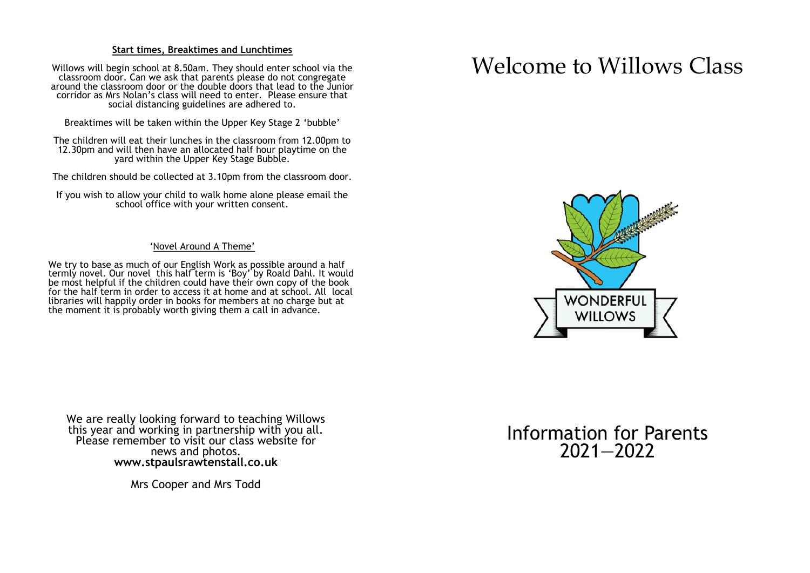#### **Start times, Breaktimes and Lunchtimes**

Willows will begin school at 8.50am. They should enter school via the classroom door. Can we ask that parents please do not congregate around the classroom door or the double doors that lead to the Junior corridor as Mrs Nolan's class will need to enter. Please ensure that social distancing guidelines are adhered to.

Breaktimes will be taken within the Upper Key Stage 2 'bubble'

The children will eat their lunches in the classroom from 12.00pm to 12.30pm and will then have an allocated half hour playtime on the yard within the Upper Key Stage Bubble.

The children should be collected at 3.10pm from the classroom door.

If you wish to allow your child to walk home alone please email the school office with your written consent.

#### 'Novel Around A Theme'

We try to base as much of our English Work as possible around a half termly novel. Our novel this half term is 'Boy' by Roald Dahl. It would be most helpful if the children could have their own copy of the book for the half term in order to access it at home and at school. All local libraries will happily order in books for members at no charge but at the moment it is probably worth giving them a call in advance.

We are really looking forward to teaching Willows this year and working in partnership with you all. Please remember to visit our class website for news and photos. **www.stpaulsrawtenstall.co.uk**

Mrs Cooper and Mrs Todd

# Welcome to Willows Class



Information for Parents 2021—2022